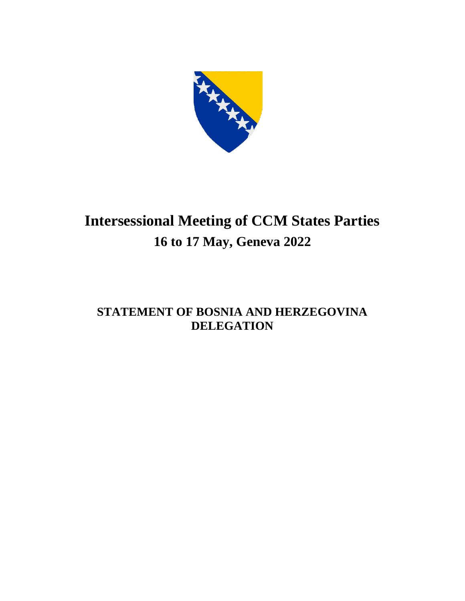

## **Intersessional Meeting of CCM States Parties 16 to 17 May, Geneva 2022**

## **STATEMENT OF BOSNIA AND HERZEGOVINA DELEGATION**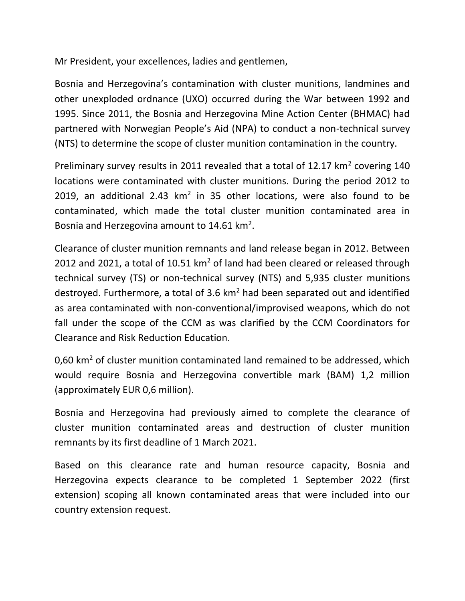Mr President, your excellences, ladies and gentlemen,

Bosnia and Herzegovina's contamination with cluster munitions, landmines and other unexploded ordnance (UXO) occurred during the War between 1992 and 1995. Since 2011, the Bosnia and Herzegovina Mine Action Center (BHMAC) had partnered with Norwegian People's Aid (NPA) to conduct a non-technical survey (NTS) to determine the scope of cluster munition contamination in the country.

Preliminary survey results in 2011 revealed that a total of 12.17  $km^2$  covering 140 locations were contaminated with cluster munitions. During the period 2012 to 2019, an additional 2.43  $km^2$  in 35 other locations, were also found to be contaminated, which made the total cluster munition contaminated area in Bosnia and Herzegovina amount to 14.61  $km^2$ .

Clearance of cluster munition remnants and land release began in 2012. Between 2012 and 2021, a total of 10.51  $km^2$  of land had been cleared or released through technical survey (TS) or non-technical survey (NTS) and 5,935 cluster munitions destroyed. Furthermore, a total of 3.6  $km<sup>2</sup>$  had been separated out and identified as area contaminated with non-conventional/improvised weapons, which do not fall under the scope of the CCM as was clarified by the CCM Coordinators for Clearance and Risk Reduction Education.

0,60 km<sup>2</sup> of cluster munition contaminated land remained to be addressed, which would require Bosnia and Herzegovina convertible mark (BAM) 1,2 million (approximately EUR 0,6 million).

Bosnia and Herzegovina had previously aimed to complete the clearance of cluster munition contaminated areas and destruction of cluster munition remnants by its first deadline of 1 March 2021.

Based on this clearance rate and human resource capacity, Bosnia and Herzegovina expects clearance to be completed 1 September 2022 (first extension) scoping all known contaminated areas that were included into our country extension request.